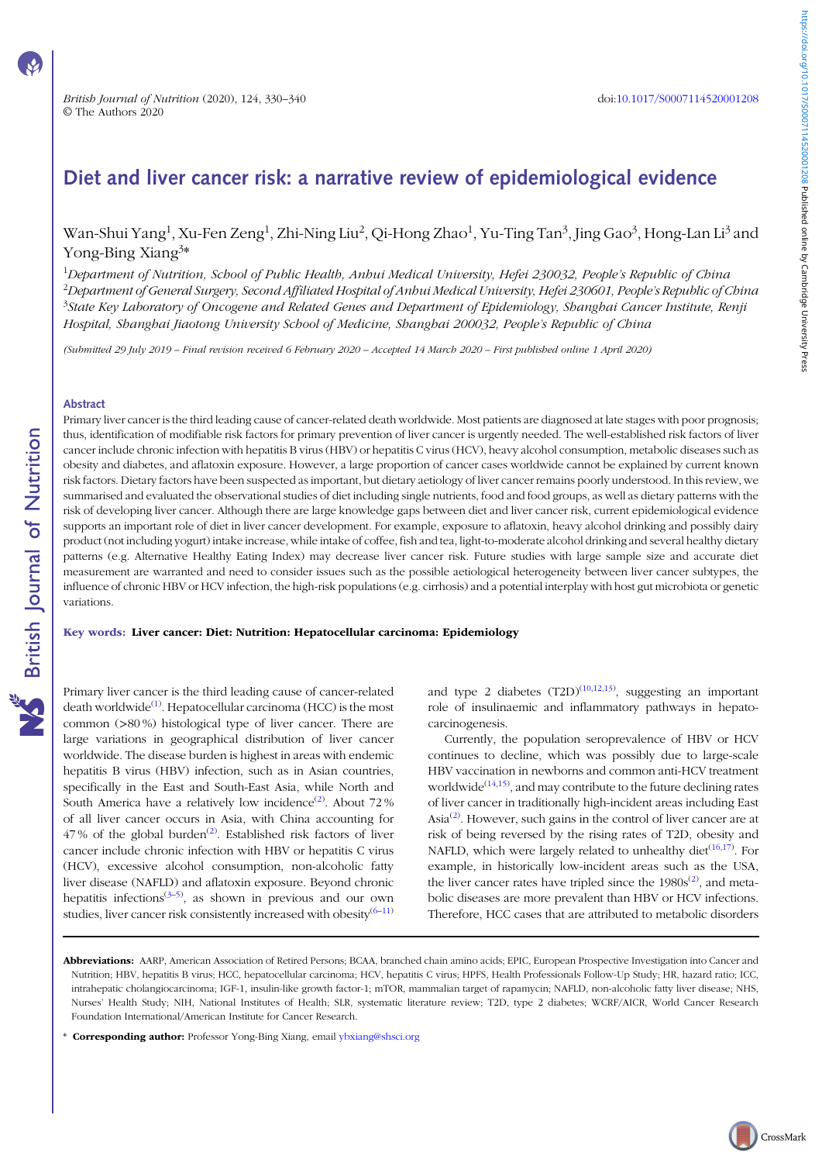CrossMark

# Diet and liver cancer risk: a narrative review of epidemiological evidence

## Wan-Shui Yang<sup>1</sup>, Xu-Fen Zeng<sup>1</sup>, Zhi-Ning Liu<sup>2</sup>, Qi-Hong Zhao<sup>1</sup>, Yu-Ting Tan<sup>3</sup>, Jing Gao<sup>3</sup>, Hong-Lan Li<sup>3</sup> and Yong-Bing Xiang<sup>3\*</sup>

<sup>1</sup>Department of Nutrition, School of Public Health, Anhui Medical University, Hefei 230032, People's Republic of China <sup>2</sup>Department of General Surgery, Second Affiliated Hospital of Anhui Medical University, Hefei 230601, People's Republic of China <sup>3</sup>State Key Laboratory of Oncogene and Related Genes and Department of Epidemiology, Shanghai Cancer Institute, Renji Hospital, Shanghai Jiaotong University School of Medicine, Shanghai 200032, People's Republic of China

(Submitted 29 July 2019 – Final revision received 6 February 2020 – Accepted 14 March 2020 – First published online 1 April 2020)

#### Abstract

Primary liver cancer is the third leading cause of cancer-related death worldwide. Most patients are diagnosed at late stages with poor prognosis; thus, identification of modifiable risk factors for primary prevention of liver cancer is urgently needed. The well-established risk factors of liver cancer include chronic infection with hepatitis B virus (HBV) or hepatitis C virus (HCV), heavy alcohol consumption, metabolic diseases such as obesity and diabetes, and aflatoxin exposure. However, a large proportion of cancer cases worldwide cannot be explained by current known risk factors. Dietary factors have been suspected as important, but dietary aetiology of liver cancer remains poorly understood. In this review, we summarised and evaluated the observational studies of diet including single nutrients, food and food groups, as well as dietary patterns with the risk of developing liver cancer. Although there are large knowledge gaps between diet and liver cancer risk, current epidemiological evidence supports an important role of diet in liver cancer development. For example, exposure to aflatoxin, heavy alcohol drinking and possibly dairy product (not including yogurt) intake increase, while intake of coffee, fish and tea, light-to-moderate alcohol drinking and several healthy dietary patterns (e.g. Alternative Healthy Eating Index) may decrease liver cancer risk. Future studies with large sample size and accurate diet measurement are warranted and need to consider issues such as the possible aetiological heterogeneity between liver cancer subtypes, the influence of chronic HBV or HCV infection, the high-risk populations (e.g. cirrhosis) and a potential interplay with host gut microbiota or genetic variations.

#### Key words: Liver cancer: Diet: Nutrition: Hepatocellular carcinoma: Epidemiology

Primary liver cancer is the third leading cause of cancer-related death worldwide<sup>([1\)](#page-6-0)</sup>. Hepatocellular carcinoma (HCC) is the most common (>80 %) histological type of liver cancer. There are large variations in geographical distribution of liver cancer worldwide. The disease burden is highest in areas with endemic hepatitis B virus (HBV) infection, such as in Asian countries, specifically in the East and South-East Asia, while North and South America have a relatively low incidence<sup>([2](#page-6-0))</sup>. About 72% of all liver cancer occurs in Asia, with China accounting for  $47\%$  of the global burden<sup>([2](#page-6-0))</sup>. Established risk factors of liver cancer include chronic infection with HBV or hepatitis C virus (HCV), excessive alcohol consumption, non-alcoholic fatty liver disease (NAFLD) and aflatoxin exposure. Beyond chronic hepatitis infections<sup>[\(3](#page-6-0)-[5\)](#page-6-0)</sup>, as shown in previous and our own studies, liver cancer risk consistently increased with obesity $(6-11)$  $(6-11)$  $(6-11)$  $(6-11)$ 

and type 2 diabetes  $(T2D)^{(10,12,13)}$  $(T2D)^{(10,12,13)}$  $(T2D)^{(10,12,13)}$  $(T2D)^{(10,12,13)}$  $(T2D)^{(10,12,13)}$  $(T2D)^{(10,12,13)}$  $(T2D)^{(10,12,13)}$ , suggesting an important role of insulinaemic and inflammatory pathways in hepatocarcinogenesis.

Currently, the population seroprevalence of HBV or HCV continues to decline, which was possibly due to large-scale HBV vaccination in newborns and common anti-HCV treatment worldwide<sup>[\(14](#page-6-0),[15](#page-6-0))</sup>, and may contribute to the future declining rates of liver cancer in traditionally high-incident areas including East Asia<sup>[\(2](#page-6-0))</sup>. However, such gains in the control of liver cancer are at risk of being reversed by the rising rates of T2D, obesity and NAFLD, which were largely related to unhealthy diet<sup>([16,17\)](#page-6-0)</sup>. For example, in historically low-incident areas such as the USA, the liver cancer rates have tripled since the  $1980s^{(2)}$  $1980s^{(2)}$  $1980s^{(2)}$ , and metabolic diseases are more prevalent than HBV or HCV infections. Therefore, HCC cases that are attributed to metabolic disorders

Abbreviations: AARP, American Association of Retired Persons; BCAA, branched chain amino acids; EPIC, European Prospective Investigation into Cancer and Nutrition; HBV, hepatitis B virus; HCC, hepatocellular carcinoma; HCV, hepatitis C virus; HPFS, Health Professionals Follow-Up Study; HR, hazard ratio; ICC, intrahepatic cholangiocarcinoma; IGF-1, insulin-like growth factor-1; mTOR, mammalian target of rapamycin; NAFLD, non-alcoholic fatty liver disease; NHS, Nurses' Health Study; NIH, National Institutes of Health; SLR, systematic literature review; T2D, type 2 diabetes; WCRF/AICR, World Cancer Research Foundation International/American Institute for Cancer Research.

Corresponding author: Professor Yong-Bing Xiang, email [ybxiang@shsci.org](mailto:ybxiang@shsci.org)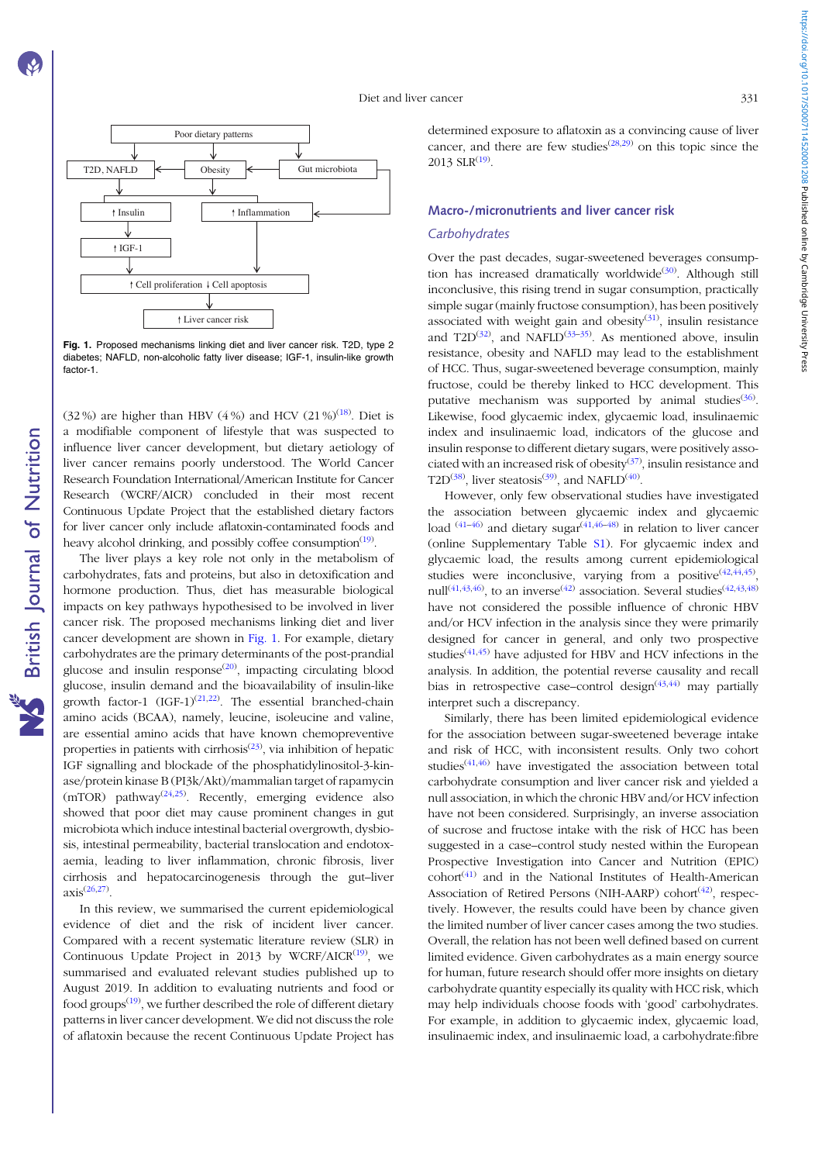https://doi.org/10.1017/50007114520001208 Published online by Cambridge University Press https://doi.org/10.1017/S0007114520001208 Published online by Cambridge University Press

<span id="page-1-0"></span>

Fig. 1. Proposed mechanisms linking diet and liver cancer risk. T2D, type 2 diabetes; NAFLD, non-alcoholic fatty liver disease; IGF-1, insulin-like growth factor-1.

(32%) are higher than HBV (4%) and HCV (21%)<sup>([18](#page-6-0))</sup>. Diet is a modifiable component of lifestyle that was suspected to influence liver cancer development, but dietary aetiology of liver cancer remains poorly understood. The World Cancer Research Foundation International/American Institute for Cancer Research (WCRF/AICR) concluded in their most recent Continuous Update Project that the established dietary factors for liver cancer only include aflatoxin-contaminated foods and heavy alcohol drinking, and possibly coffee consumption<sup>([19\)](#page-6-0)</sup>.

The liver plays a key role not only in the metabolism of carbohydrates, fats and proteins, but also in detoxification and hormone production. Thus, diet has measurable biological impacts on key pathways hypothesised to be involved in liver cancer risk. The proposed mechanisms linking diet and liver cancer development are shown in Fig. 1. For example, dietary carbohydrates are the primary determinants of the post-prandial glucose and insulin response $(20)$  $(20)$ , impacting circulating blood glucose, insulin demand and the bioavailability of insulin-like growth factor-1  $(IGF-1)^{(21,22)}$  $(IGF-1)^{(21,22)}$  $(IGF-1)^{(21,22)}$  $(IGF-1)^{(21,22)}$  $(IGF-1)^{(21,22)}$ . The essential branched-chain amino acids (BCAA), namely, leucine, isoleucine and valine, are essential amino acids that have known chemopreventive properties in patients with cirrhosis<sup>([23\)](#page-6-0)</sup>, via inhibition of hepatic IGF signalling and blockade of the phosphatidylinositol-3-kinase/protein kinase B (PI3k/Akt)/mammalian target of rapamycin  $(mTOR)$  pathway<sup>([24,25\)](#page-6-0)</sup>. Recently, emerging evidence also showed that poor diet may cause prominent changes in gut microbiota which induce intestinal bacterial overgrowth, dysbiosis, intestinal permeability, bacterial translocation and endotoxaemia, leading to liver inflammation, chronic fibrosis, liver cirrhosis and hepatocarcinogenesis through the gut–liver  $axis^{(26,27)}$  $axis^{(26,27)}$  $axis^{(26,27)}$ .

In this review, we summarised the current epidemiological evidence of diet and the risk of incident liver cancer. Compared with a recent systematic literature review (SLR) in Continuous Update Project in 2013 by WCRF/AICR $(19)$  $(19)$  $(19)$ , we summarised and evaluated relevant studies published up to August 2019. In addition to evaluating nutrients and food or food groups<sup>([19\)](#page-6-0)</sup>, we further described the role of different dietary patterns in liver cancer development. We did not discuss the role of aflatoxin because the recent Continuous Update Project has determined exposure to aflatoxin as a convincing cause of liver cancer, and there are few studies<sup> $(28,29)$  $(28,29)$ </sup> on this topic since the  $2013$  SLR<sup> $(19)$  $(19)$ </sup>.

#### Macro-/micronutrients and liver cancer risk

## **Carbohydrates**

Over the past decades, sugar-sweetened beverages consump-tion has increased dramatically worldwide<sup>([30\)](#page-6-0)</sup>. Although still inconclusive, this rising trend in sugar consumption, practically simple sugar (mainly fructose consumption), has been positively associated with weight gain and obesity $(31)$  $(31)$ , insulin resistance and T2D<sup>[\(32\)](#page-6-0)</sup>, and NAFLD<sup>([33](#page-7-0)-[35\)](#page-7-0)</sup>. As mentioned above, insulin resistance, obesity and NAFLD may lead to the establishment of HCC. Thus, sugar-sweetened beverage consumption, mainly fructose, could be thereby linked to HCC development. This putative mechanism was supported by animal studies<sup>([36](#page-7-0))</sup>. Likewise, food glycaemic index, glycaemic load, insulinaemic index and insulinaemic load, indicators of the glucose and insulin response to different dietary sugars, were positively asso-ciated with an increased risk of obesity<sup>([37\)](#page-7-0)</sup>, insulin resistance and T2D<sup>([38\)](#page-7-0)</sup>, liver steatosis<sup>([39](#page-7-0))</sup>, and NAFLD<sup>[\(40](#page-7-0))</sup>.

However, only few observational studies have investigated the association between glycaemic index and glycaemic load  $(41-46)$  $(41-46)$  $(41-46)$  and dietary sugar $(41,46-48)$  $(41,46-48)$  $(41,46-48)$  $(41,46-48)$  $(41,46-48)$  in relation to liver cancer (online Supplementary Table [S1\)](https://doi.org/10.1017/S0007114520001208). For glycaemic index and glycaemic load, the results among current epidemiological studies were inconclusive, varying from a positive  $(42, 44, 45)$  $(42, 44, 45)$  $(42, 44, 45)$  $(42, 44, 45)$  $(42, 44, 45)$  $(42, 44, 45)$ ,  $null^{(41,43,46)}$  $null^{(41,43,46)}$  $null^{(41,43,46)}$ , to an inverse<sup>[\(42](#page-7-0))</sup> association. Several studies<sup>[\(42,43,48](#page-7-0))</sup> have not considered the possible influence of chronic HBV and/or HCV infection in the analysis since they were primarily designed for cancer in general, and only two prospective studies<sup> $(41,45)$  $(41,45)$ </sup> have adjusted for HBV and HCV infections in the analysis. In addition, the potential reverse causality and recall bias in retrospective case-control design<sup> $(43,44)$ </sup> may partially interpret such a discrepancy.

Similarly, there has been limited epidemiological evidence for the association between sugar-sweetened beverage intake and risk of HCC, with inconsistent results. Only two cohort studies([41,46\)](#page-7-0) have investigated the association between total carbohydrate consumption and liver cancer risk and yielded a null association, in which the chronic HBV and/or HCV infection have not been considered. Surprisingly, an inverse association of sucrose and fructose intake with the risk of HCC has been suggested in a case–control study nested within the European Prospective Investigation into Cancer and Nutrition (EPIC)  $\text{cohort}^{(41)}$  $\text{cohort}^{(41)}$  $\text{cohort}^{(41)}$  and in the National Institutes of Health-American Association of Retired Persons (NIH-AARP) cohort<sup>([42\)](#page-7-0)</sup>, respectively. However, the results could have been by chance given the limited number of liver cancer cases among the two studies. Overall, the relation has not been well defined based on current limited evidence. Given carbohydrates as a main energy source for human, future research should offer more insights on dietary carbohydrate quantity especially its quality with HCC risk, which may help individuals choose foods with 'good' carbohydrates. For example, in addition to glycaemic index, glycaemic load, insulinaemic index, and insulinaemic load, a carbohydrate:fibre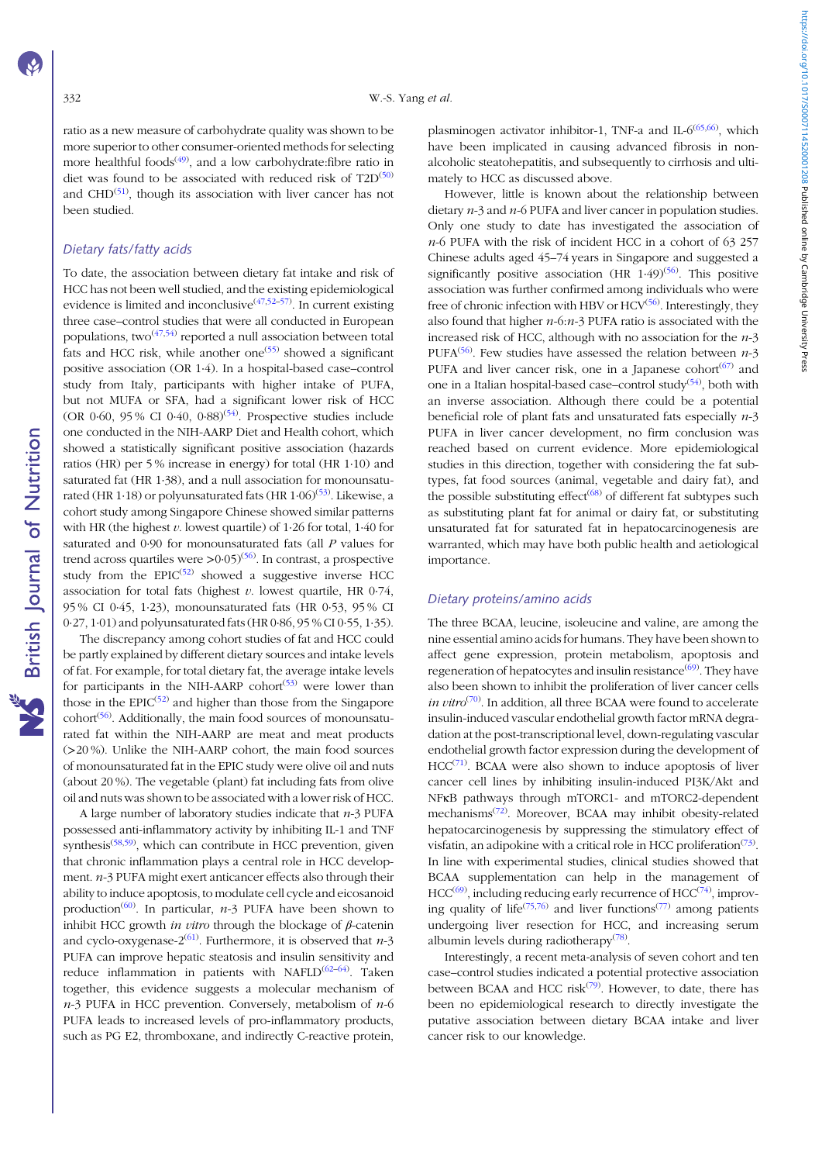ratio as a new measure of carbohydrate quality was shown to be more superior to other consumer-oriented methods for selecting more healthful foods<sup> $(49)$  $(49)$ </sup>, and a low carbohydrate:fibre ratio in diet was found to be associated with reduced risk of  $T2D^{(50)}$  $T2D^{(50)}$  $T2D^{(50)}$ and CHD $^{(51)}$  $^{(51)}$  $^{(51)}$ , though its association with liver cancer has not been studied.

## Dietary fats/fatty acids

To date, the association between dietary fat intake and risk of HCC has not been well studied, and the existing epidemiological evidence is limited and inconclusive<sup>([47](#page-7-0),[52](#page-7-0)-[57](#page-7-0))</sup>. In current existing three case–control studies that were all conducted in European populations, two $(47,54)$  $(47,54)$  $(47,54)$  $(47,54)$  $(47,54)$  reported a null association between total fats and HCC risk, while another one<sup> $(55)$  $(55)$  $(55)$ </sup> showed a significant positive association (OR 1·4). In a hospital-based case–control study from Italy, participants with higher intake of PUFA, but not MUFA or SFA, had a significant lower risk of HCC (OR 0.60, 95% CI 0.40, 0.88)<sup>[\(54](#page-7-0))</sup>. Prospective studies include one conducted in the NIH-AARP Diet and Health cohort, which showed a statistically significant positive association (hazards ratios (HR) per 5 % increase in energy) for total (HR 1·10) and saturated fat (HR 1·38), and a null association for monounsatu-rated (HR 1·18) or polyunsaturated fats (HR 1·06)<sup>([53](#page-7-0))</sup>. Likewise, a cohort study among Singapore Chinese showed similar patterns with HR (the highest  $v$ . lowest quartile) of 1.26 for total, 1.40 for saturated and 0·90 for monounsaturated fats (all P values for trend across quartiles were  $>$  0 $\cdot$  05 $/$ <sup>[56](#page-7-0) $\cdot$ </sup>). In contrast, a prospective study from the  $EPIC^{(52)}$  $EPIC^{(52)}$  $EPIC^{(52)}$  showed a suggestive inverse HCC association for total fats (highest  $v$ . lowest quartile, HR 0-74, 95 % CI 0·45, 1·23), monounsaturated fats (HR 0·53, 95 % CI 0·27, 1·01) and polyunsaturated fats (HR 0·86, 95 % CI 0·55, 1·35).

The discrepancy among cohort studies of fat and HCC could be partly explained by different dietary sources and intake levels of fat. For example, for total dietary fat, the average intake levels for participants in the NIH-AARP cohort<sup> $(53)$  $(53)$  $(53)$ </sup> were lower than those in the  $EPIC^{(52)}$  $EPIC^{(52)}$  $EPIC^{(52)}$  and higher than those from the Singapore cohort<sup>[\(56\)](#page-7-0)</sup>. Additionally, the main food sources of monounsaturated fat within the NIH-AARP are meat and meat products (>20 %). Unlike the NIH-AARP cohort, the main food sources of monounsaturated fat in the EPIC study were olive oil and nuts (about 20 %). The vegetable (plant) fat including fats from olive oil and nuts was shown to be associated with a lower risk of HCC.

A large number of laboratory studies indicate that  $n-3$  PUFA possessed anti-inflammatory activity by inhibiting IL-1 and TNF synthesis<sup>[\(58,59](#page-7-0))</sup>, which can contribute in HCC prevention, given that chronic inflammation plays a central role in HCC development. n-3 PUFA might exert anticancer effects also through their ability to induce apoptosis, to modulate cell cycle and eicosanoid production<sup>([60](#page-7-0))</sup>. In particular,  $n-3$  PUFA have been shown to inhibit HCC growth *in vitro* through the blockage of  $\beta$ -catenin and cyclo-oxygenase-2<sup>([61\)](#page-7-0)</sup>. Furthermore, it is observed that  $n-3$ PUFA can improve hepatic steatosis and insulin sensitivity and reduce inflammation in patients with NAFLD<sup>[\(62](#page-7-0)-[64\)](#page-7-0)</sup>. Taken together, this evidence suggests a molecular mechanism of  $n-3$  PUFA in HCC prevention. Conversely, metabolism of  $n-6$ PUFA leads to increased levels of pro-inflammatory products, such as PG E2, thromboxane, and indirectly C-reactive protein,

plasminogen activator inhibitor-1, TNF-a and IL-6<sup>[\(65,66](#page-7-0))</sup>, which have been implicated in causing advanced fibrosis in nonalcoholic steatohepatitis, and subsequently to cirrhosis and ultimately to HCC as discussed above.

However, little is known about the relationship between dietary  $n-3$  and  $n-6$  PUFA and liver cancer in population studies. Only one study to date has investigated the association of n-6 PUFA with the risk of incident HCC in a cohort of 63 257 Chinese adults aged 45–74 years in Singapore and suggested a significantly positive association (HR  $1.49$ )<sup>[\(56](#page-7-0))</sup>. This positive association was further confirmed among individuals who were free of chronic infection with HBV or HCV<sup>([56\)](#page-7-0)</sup>. Interestingly, they also found that higher  $n-6$ : $n-3$  PUFA ratio is associated with the increased risk of HCC, although with no association for the  $n-3$ PUFA<sup>([56](#page-7-0))</sup>. Few studies have assessed the relation between  $n-3$ PUFA and liver cancer risk, one in a Japanese cohort $(67)$  $(67)$  and one in a Italian hospital-based case-control study<sup>([54](#page-7-0))</sup>, both with an inverse association. Although there could be a potential beneficial role of plant fats and unsaturated fats especially n-3 PUFA in liver cancer development, no firm conclusion was reached based on current evidence. More epidemiological studies in this direction, together with considering the fat subtypes, fat food sources (animal, vegetable and dairy fat), and the possible substituting effect<sup> $(68)$  $(68)$ </sup> of different fat subtypes such as substituting plant fat for animal or dairy fat, or substituting unsaturated fat for saturated fat in hepatocarcinogenesis are warranted, which may have both public health and aetiological importance.

## Dietary proteins/amino acids

The three BCAA, leucine, isoleucine and valine, are among the nine essential amino acids for humans. They have been shown to affect gene expression, protein metabolism, apoptosis and regeneration of hepatocytes and insulin resistance<sup>[\(69](#page-7-0))</sup>. They have also been shown to inhibit the proliferation of liver cancer cells *in vitro*<sup>([70](#page-7-0))</sup>. In addition, all three BCAA were found to accelerate insulin-induced vascular endothelial growth factor mRNA degradation at the post-transcriptional level, down-regulating vascular endothelial growth factor expression during the development of HCC<sup>([71](#page-7-0))</sup>. BCAA were also shown to induce apoptosis of liver cancer cell lines by inhibiting insulin-induced PI3K/Akt and NFκB pathways through mTORC1- and mTORC2-dependent mechanisms<sup>[\(72](#page-7-0))</sup>. Moreover, BCAA may inhibit obesity-related hepatocarcinogenesis by suppressing the stimulatory effect of visfatin, an adipokine with a critical role in HCC proliferation $^{(73)}$  $^{(73)}$  $^{(73)}$ . In line with experimental studies, clinical studies showed that BCAA supplementation can help in the management of  $HCC^{(69)}$  $HCC^{(69)}$  $HCC^{(69)}$ , including reducing early recurrence of  $HCC^{(74)}$  $HCC^{(74)}$  $HCC^{(74)}$ , improving quality of life<sup> $(75,76)$  $(75,76)$  $(75,76)$  $(75,76)$ </sup> and liver functions<sup> $(77)$ </sup> among patients undergoing liver resection for HCC, and increasing serum albumin levels during radiotherapy<sup>([78](#page-8-0))</sup>.

Interestingly, a recent meta-analysis of seven cohort and ten case–control studies indicated a potential protective association between BCAA and HCC risk<sup>([79\)](#page-8-0)</sup>. However, to date, there has been no epidemiological research to directly investigate the putative association between dietary BCAA intake and liver cancer risk to our knowledge.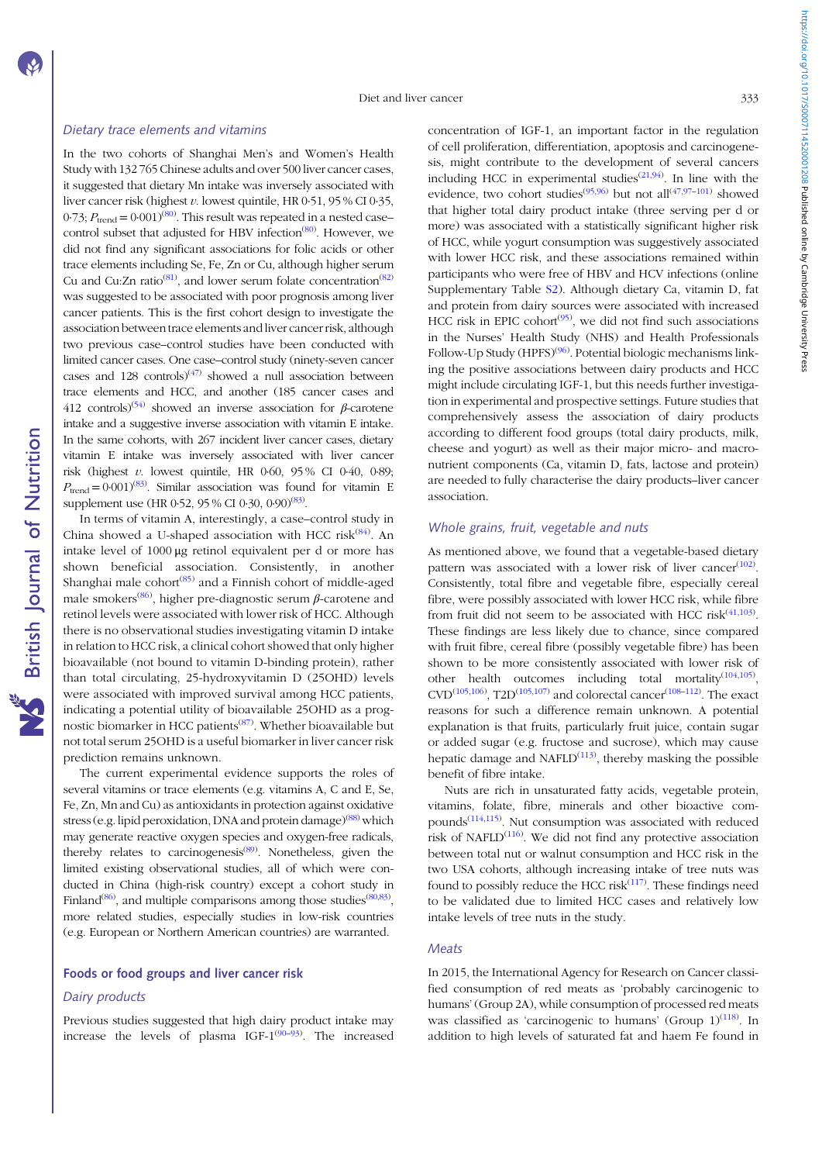**NS** British Journal of Nutrition

## Dietary trace elements and vitamins

In the two cohorts of Shanghai Men's and Women's Health Study with 132 765 Chinese adults and over 500 liver cancer cases, it suggested that dietary Mn intake was inversely associated with liver cancer risk (highest v. lowest quintile, HR 0·51, 95 % CI 0·35, 0.73;  $P_{\text{trend}} = 0.001^{(80)}$  $P_{\text{trend}} = 0.001^{(80)}$  $P_{\text{trend}} = 0.001^{(80)}$ . This result was repeated in a nested case– control subset that adjusted for HBV infection<sup>([80\)](#page-8-0)</sup>. However, we did not find any significant associations for folic acids or other trace elements including Se, Fe, Zn or Cu, although higher serum Cu and Cu:Zn ratio<sup>[\(81](#page-8-0))</sup>, and lower serum folate concentration<sup>[\(82](#page-8-0))</sup> was suggested to be associated with poor prognosis among liver cancer patients. This is the first cohort design to investigate the association between trace elements and liver cancer risk, although two previous case–control studies have been conducted with limited cancer cases. One case–control study (ninety-seven cancer cases and 128 controls) $(47)$  showed a null association between trace elements and HCC, and another (185 cancer cases and 412 controls)<sup>[\(54](#page-7-0))</sup> showed an inverse association for  $\beta$ -carotene intake and a suggestive inverse association with vitamin E intake. In the same cohorts, with 267 incident liver cancer cases, dietary vitamin E intake was inversely associated with liver cancer risk (highest  $v$ . lowest quintile, HR 0 $-60$ , 95% CI 0 $-40$ , 0 $-89$ ;  $P_{\text{trend}} = 0.001<sup>(83)</sup>$  $P_{\text{trend}} = 0.001<sup>(83)</sup>$  $P_{\text{trend}} = 0.001<sup>(83)</sup>$ . Similar association was found for vitamin E supplement use (HR 0.52, 95 % CI 0.30, 0.90)<sup>[\(83\)](#page-8-0)</sup>.

In terms of vitamin A, interestingly, a case–control study in China showed a U-shaped association with HCC risk<sup>([84](#page-8-0))</sup>. An intake level of 1000 μg retinol equivalent per d or more has shown beneficial association. Consistently, in another Shanghai male cohort<sup>[\(85\)](#page-8-0)</sup> and a Finnish cohort of middle-aged male smokers<sup>([86](#page-8-0))</sup>, higher pre-diagnostic serum  $\beta$ -carotene and retinol levels were associated with lower risk of HCC. Although there is no observational studies investigating vitamin D intake in relation to HCC risk, a clinical cohort showed that only higher bioavailable (not bound to vitamin D-binding protein), rather than total circulating, 25-hydroxyvitamin D (25OHD) levels were associated with improved survival among HCC patients, indicating a potential utility of bioavailable 25OHD as a prog-nostic biomarker in HCC patients<sup>([87](#page-8-0))</sup>. Whether bioavailable but not total serum 25OHD is a useful biomarker in liver cancer risk prediction remains unknown.

The current experimental evidence supports the roles of several vitamins or trace elements (e.g. vitamins A, C and E, Se, Fe, Zn, Mn and Cu) as antioxidants in protection against oxidative stress (e.g. lipid peroxidation, DNA and protein damage)<sup>([88\)](#page-8-0)</sup> which may generate reactive oxygen species and oxygen-free radicals, thereby relates to carcinogenesis<sup>[\(89](#page-8-0))</sup>. Nonetheless, given the limited existing observational studies, all of which were conducted in China (high-risk country) except a cohort study in Finland<sup>([86\)](#page-8-0)</sup>, and multiple comparisons among those studies<sup>[\(80](#page-8-0),[83\)](#page-8-0)</sup>, more related studies, especially studies in low-risk countries (e.g. European or Northern American countries) are warranted.

## Foods or food groups and liver cancer risk

#### Dairy products

Previous studies suggested that high dairy product intake may increase the levels of plasma IGF- $1^{(90-93)}$  $1^{(90-93)}$  $1^{(90-93)}$  $1^{(90-93)}$  $1^{(90-93)}$ . The increased concentration of IGF-1, an important factor in the regulation of cell proliferation, differentiation, apoptosis and carcinogenesis, might contribute to the development of several cancers including HCC in experimental studies<sup> $(21,94)$  $(21,94)$  $(21,94)$ </sup>. In line with the evidence, two cohort studies<sup>[\(95,96\)](#page-8-0)</sup> but not all<sup>[\(47,](#page-7-0)[97](#page-8-0)-[101\)](#page-8-0)</sup> showed that higher total dairy product intake (three serving per d or more) was associated with a statistically significant higher risk of HCC, while yogurt consumption was suggestively associated with lower HCC risk, and these associations remained within participants who were free of HBV and HCV infections (online Supplementary Table [S2](https://doi.org/10.1017/S0007114520001208)). Although dietary Ca, vitamin D, fat and protein from dairy sources were associated with increased HCC risk in EPIC cohort<sup>[\(95](#page-8-0))</sup>, we did not find such associations in the Nurses' Health Study (NHS) and Health Professionals Follow-Up Study (HPFS)<sup>[\(96](#page-8-0))</sup>. Potential biologic mechanisms linking the positive associations between dairy products and HCC might include circulating IGF-1, but this needs further investigation in experimental and prospective settings. Future studies that comprehensively assess the association of dairy products according to different food groups (total dairy products, milk, cheese and yogurt) as well as their major micro- and macronutrient components (Ca, vitamin D, fats, lactose and protein) are needed to fully characterise the dairy products–liver cancer association.

## Whole grains, fruit, vegetable and nuts

As mentioned above, we found that a vegetable-based dietary pattern was associated with a lower risk of liver cancer $(102)$  $(102)$  $(102)$ . Consistently, total fibre and vegetable fibre, especially cereal fibre, were possibly associated with lower HCC risk, while fibre from fruit did not seem to be associated with HCC risk $(41,103)$  $(41,103)$  $(41,103)$  $(41,103)$  $(41,103)$ . These findings are less likely due to chance, since compared with fruit fibre, cereal fibre (possibly vegetable fibre) has been shown to be more consistently associated with lower risk of other health outcomes including total mortality $(104,105)$  $(104,105)$  $(104,105)$  $(104,105)$  $(104,105)$ , CVD<sup>[\(105,106\)](#page-8-0)</sup>, T2D<sup>([105](#page-8-0),[107](#page-8-0))</sup> and colorectal cancer<sup>([108](#page-8-0)–[112\)](#page-9-0)</sup>. The exact reasons for such a difference remain unknown. A potential explanation is that fruits, particularly fruit juice, contain sugar or added sugar (e.g. fructose and sucrose), which may cause hepatic damage and  $NAFLD<sup>(113)</sup>$  $NAFLD<sup>(113)</sup>$  $NAFLD<sup>(113)</sup>$ , thereby masking the possible benefit of fibre intake.

Nuts are rich in unsaturated fatty acids, vegetable protein, vitamins, folate, fibre, minerals and other bioactive com-pounds<sup>([114](#page-9-0),[115](#page-9-0))</sup>. Nut consumption was associated with reduced risk of NAFLD $^{(116)}$  $^{(116)}$  $^{(116)}$ . We did not find any protective association between total nut or walnut consumption and HCC risk in the two USA cohorts, although increasing intake of tree nuts was found to possibly reduce the HCC risk $(117)$  $(117)$  $(117)$ . These findings need to be validated due to limited HCC cases and relatively low intake levels of tree nuts in the study.

#### **Meats**

In 2015, the International Agency for Research on Cancer classified consumption of red meats as 'probably carcinogenic to humans' (Group 2A), while consumption of processed red meats was classified as 'carcinogenic to humans' (Group  $1)^{(118)}$  $1)^{(118)}$  $1)^{(118)}$ . In addition to high levels of saturated fat and haem Fe found in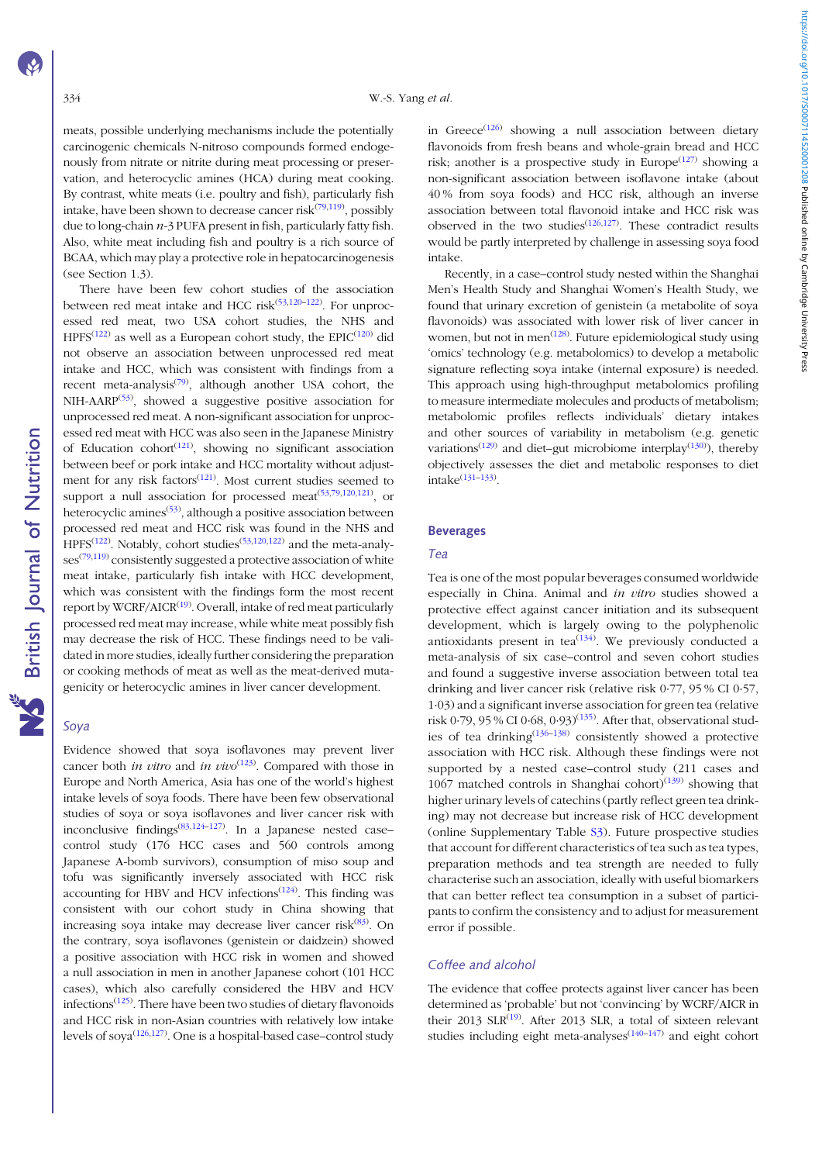meats, possible underlying mechanisms include the potentially carcinogenic chemicals N-nitroso compounds formed endogenously from nitrate or nitrite during meat processing or preservation, and heterocyclic amines (HCA) during meat cooking. By contrast, white meats (i.e. poultry and fish), particularly fish intake, have been shown to decrease cancer risk $(79,119)$  $(79,119)$  $(79,119)$ , possibly due to long-chain  $n-3$  PUFA present in fish, particularly fatty fish. Also, white meat including fish and poultry is a rich source of BCAA, which may play a protective role in hepatocarcinogenesis (see Section 1.3).

There have been few cohort studies of the association between red meat intake and HCC risk<sup>[\(53](#page-7-0)[,120](#page-9-0)–[122](#page-9-0))</sup>. For unprocessed red meat, two USA cohort studies, the NHS and  $HPPS^{(122)}$  $HPPS^{(122)}$  $HPPS^{(122)}$  as well as a European cohort study, the EPIC<sup>([120\)](#page-9-0)</sup> did not observe an association between unprocessed red meat intake and HCC, which was consistent with findings from a recent meta-analysis<sup>[\(79\)](#page-8-0)</sup>, although another USA cohort, the NIH-AARP<sup>[\(53](#page-7-0))</sup>, showed a suggestive positive association for unprocessed red meat. A non-significant association for unprocessed red meat with HCC was also seen in the Japanese Ministry of Education cohort $(121)$ , showing no significant association between beef or pork intake and HCC mortality without adjust-ment for any risk factors<sup>([121](#page-9-0))</sup>. Most current studies seemed to support a null association for processed meat<sup> $(53,79,120,121)$  $(53,79,120,121)$  $(53,79,120,121)$  $(53,79,120,121)$  $(53,79,120,121)$  $(53,79,120,121)$  $(53,79,120,121)$ </sup>, or heterocyclic amines<sup>([53\)](#page-7-0)</sup>, although a positive association between processed red meat and HCC risk was found in the NHS and HPFS<sup>[\(122\)](#page-9-0)</sup>. Notably, cohort studies<sup>([53,](#page-7-0)[120,122\)](#page-9-0)</sup> and the meta-analy-ses<sup>([79](#page-8-0)[,119\)](#page-9-0)</sup> consistently suggested a protective association of white meat intake, particularly fish intake with HCC development, which was consistent with the findings form the most recent report by WCRF/AICR<sup>[\(19](#page-6-0))</sup>. Overall, intake of red meat particularly processed red meat may increase, while white meat possibly fish may decrease the risk of HCC. These findings need to be validated in more studies, ideally further considering the preparation or cooking methods of meat as well as the meat-derived mutagenicity or heterocyclic amines in liver cancer development.

## Soya

Evidence showed that soya isoflavones may prevent liver cancer both *in vitro* and *in vivo*<sup> $(123)$  $(123)$  $(123)$ </sup>. Compared with those in Europe and North America, Asia has one of the world's highest intake levels of soya foods. There have been few observational studies of soya or soya isoflavones and liver cancer risk with inconclusive findings<sup>[\(83](#page-8-0),[124](#page-9-0)–[127\)](#page-9-0)</sup>. In a Japanese nested case– control study (176 HCC cases and 560 controls among Japanese A-bomb survivors), consumption of miso soup and tofu was significantly inversely associated with HCC risk accounting for HBV and HCV infections $(124)$  $(124)$  $(124)$ . This finding was consistent with our cohort study in China showing that increasing soya intake may decrease liver cancer risk<sup>([83\)](#page-8-0)</sup>. On the contrary, soya isoflavones (genistein or daidzein) showed a positive association with HCC risk in women and showed a null association in men in another Japanese cohort (101 HCC cases), which also carefully considered the HBV and HCV infections $(125)$  $(125)$ . There have been two studies of dietary flavonoids and HCC risk in non-Asian countries with relatively low intake levels of soya<sup>([126,127\)](#page-9-0)</sup>. One is a hospital-based case–control study in Greece<sup>[\(126\)](#page-9-0)</sup> showing a null association between dietary flavonoids from fresh beans and whole-grain bread and HCC risk; another is a prospective study in Europe<sup> $(127)$  $(127)$  $(127)$ </sup> showing a non-significant association between isoflavone intake (about 40 % from soya foods) and HCC risk, although an inverse association between total flavonoid intake and HCC risk was observed in the two studies<sup>([126](#page-9-0),[127](#page-9-0))</sup>. These contradict results would be partly interpreted by challenge in assessing soya food intake.

Recently, in a case–control study nested within the Shanghai Men's Health Study and Shanghai Women's Health Study, we found that urinary excretion of genistein (a metabolite of soya flavonoids) was associated with lower risk of liver cancer in women, but not in men<sup>([128](#page-9-0))</sup>. Future epidemiological study using 'omics' technology (e.g. metabolomics) to develop a metabolic signature reflecting soya intake (internal exposure) is needed. This approach using high-throughput metabolomics profiling to measure intermediate molecules and products of metabolism; metabolomic profiles reflects individuals' dietary intakes and other sources of variability in metabolism (e.g. genetic variations<sup> $(129)$  $(129)$  $(129)$ </sup> and diet-gut microbiome interplay $(130)$ , thereby objectively assesses the diet and metabolic responses to diet  $intake<sup>(131-133)</sup>$  $intake<sup>(131-133)</sup>$  $intake<sup>(131-133)</sup>$  $intake<sup>(131-133)</sup>$  $intake<sup>(131-133)</sup>$ .

#### Beverages

## Tea

Tea is one of the most popular beverages consumed worldwide especially in China. Animal and in vitro studies showed a protective effect against cancer initiation and its subsequent development, which is largely owing to the polyphenolic antioxidants present in tea $(134)$  $(134)$  $(134)$ . We previously conducted a meta-analysis of six case–control and seven cohort studies and found a suggestive inverse association between total tea drinking and liver cancer risk (relative risk 0·77, 95 % CI 0·57, 1·03) and a significant inverse association for green tea (relative risk 0·79, 95 % CI 0·68, 0·93)<sup>([135\)](#page-9-0)</sup>. After that, observational studies of tea drinking<sup> $(136-138)$  $(136-138)$  $(136-138)$  $(136-138)$ </sup> consistently showed a protective association with HCC risk. Although these findings were not supported by a nested case–control study (211 cases and 1067 matched controls in Shanghai cohort) $(139)$  $(139)$  showing that higher urinary levels of catechins (partly reflect green tea drinking) may not decrease but increase risk of HCC development (online Supplementary Table [S3\)](https://doi.org/10.1017/S0007114520001208). Future prospective studies that account for different characteristics of tea such as tea types, preparation methods and tea strength are needed to fully characterise such an association, ideally with useful biomarkers that can better reflect tea consumption in a subset of participants to confirm the consistency and to adjust for measurement error if possible.

#### Coffee and alcohol

The evidence that coffee protects against liver cancer has been determined as 'probable' but not 'convincing' by WCRF/AICR in their 2013 SLR $^{(19)}$  $^{(19)}$  $^{(19)}$ . After 2013 SLR, a total of sixteen relevant studies including eight meta-analyses<sup>([140](#page-9-0)-[147\)](#page-10-0)</sup> and eight cohort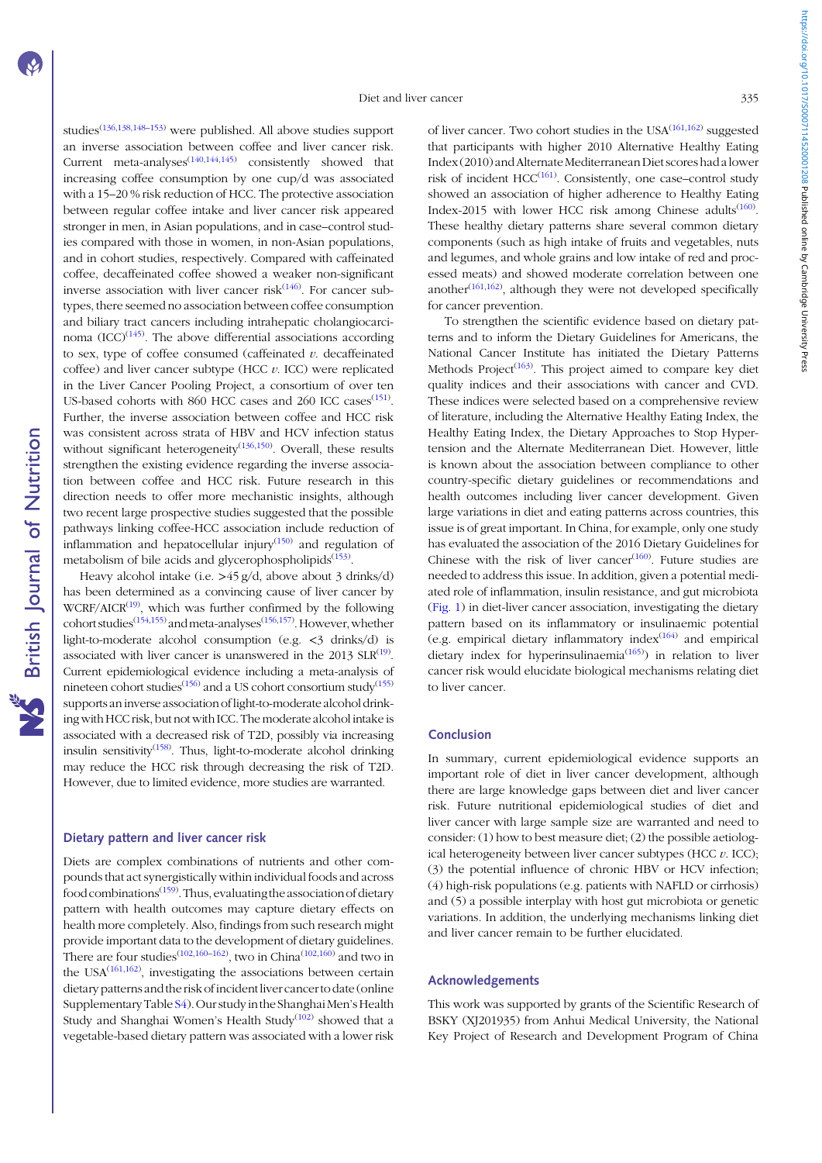studies[\(136,138,](#page-9-0)[148](#page-10-0)–[153](#page-10-0)) were published. All above studies support an inverse association between coffee and liver cancer risk. Current meta-analyses<sup> $(140,144,145)$  $(140,144,145)$  $(140,144,145)$  $(140,144,145)$  $(140,144,145)$  $(140,144,145)$ </sup> consistently showed that increasing coffee consumption by one cup/d was associated with a 15–20 % risk reduction of HCC. The protective association between regular coffee intake and liver cancer risk appeared stronger in men, in Asian populations, and in case–control studies compared with those in women, in non-Asian populations, and in cohort studies, respectively. Compared with caffeinated coffee, decaffeinated coffee showed a weaker non-significant inverse association with liver cancer risk $(146)$  $(146)$  $(146)$ . For cancer subtypes, there seemed no association between coffee consumption and biliary tract cancers including intrahepatic cholangiocarcinoma  $(ICC)^{(145)}$  $(ICC)^{(145)}$  $(ICC)^{(145)}$ . The above differential associations according to sex, type of coffee consumed (caffeinated  $v$ . decaffeinated coffee) and liver cancer subtype (HCC  $v$ . ICC) were replicated in the Liver Cancer Pooling Project, a consortium of over ten US-based cohorts with 860 HCC cases and 260 ICC cases<sup>[\(151\)](#page-10-0)</sup>. Further, the inverse association between coffee and HCC risk was consistent across strata of HBV and HCV infection status without significant heterogeneity<sup> $(136,150)$  $(136,150)$  $(136,150)$  $(136,150)$  $(136,150)$ </sup> Overall, these results strengthen the existing evidence regarding the inverse association between coffee and HCC risk. Future research in this direction needs to offer more mechanistic insights, although two recent large prospective studies suggested that the possible pathways linking coffee-HCC association include reduction of inflammation and hepatocellular injury $(150)$  $(150)$  $(150)$  and regulation of metabolism of bile acids and glycerophospholipids<sup>[\(153\)](#page-10-0)</sup>.

Heavy alcohol intake (i.e. >45 g/d, above about 3 drinks/d) has been determined as a convincing cause of liver cancer by  $WCRF/ AICR<sup>(19)</sup>$  $WCRF/ AICR<sup>(19)</sup>$  $WCRF/ AICR<sup>(19)</sup>$ , which was further confirmed by the following cohort studies<sup>([154,155](#page-10-0))</sup> and meta-analyses<sup>[\(156,157](#page-10-0))</sup>. However, whether light-to-moderate alcohol consumption (e.g. <3 drinks/d) is associated with liver cancer is unanswered in the  $2013$   $SLR^{(19)}$  $SLR^{(19)}$  $SLR^{(19)}$ . Current epidemiological evidence including a meta-analysis of nineteen cohort studies<sup>([156](#page-10-0))</sup> and a US cohort consortium study<sup>[\(155](#page-10-0))</sup> supports an inverse association of light-to-moderate alcohol drinking with HCC risk, but not with ICC. The moderate alcohol intake is associated with a decreased risk of T2D, possibly via increasing insulin sensitivity<sup>([158\)](#page-10-0)</sup>. Thus, light-to-moderate alcohol drinking may reduce the HCC risk through decreasing the risk of T2D. However, due to limited evidence, more studies are warranted.

## Dietary pattern and liver cancer risk

Diets are complex combinations of nutrients and other compounds that act synergistically within individual foods and across food combinations<sup>([159](#page-10-0))</sup>. Thus, evaluating the association of dietary pattern with health outcomes may capture dietary effects on health more completely. Also, findings from such research might provide important data to the development of dietary guidelines. There are four studies<sup>[\(102](#page-8-0)[,160](#page-10-0)–[162](#page-10-0))</sup>, two in China<sup>[\(102,](#page-8-0)[160\)](#page-10-0)</sup> and two in the USA $(161, 162)$  $(161, 162)$  $(161, 162)$  $(161, 162)$  $(161, 162)$ , investigating the associations between certain dietary patterns andthe risk of incident liver cancerto date (online Supplementary Table [S4](https://doi.org/10.1017/S0007114520001208)). Our study in the Shanghai Men's Health Study and Shanghai Women's Health Study<sup>([102](#page-8-0))</sup> showed that a vegetable-based dietary pattern was associated with a lower risk https://doi.org/10.1017/50007114520001208 Published online by Cambridge University Press https://doi.org/10.1017/S0007114520001208 Published online by Cambridge University Press

of liver cancer. Two cohort studies in the  $USA^{(161,162)}$  $USA^{(161,162)}$  $USA^{(161,162)}$  $USA^{(161,162)}$  $USA^{(161,162)}$  suggested that participants with higher 2010 Alternative Healthy Eating Index (2010) and Alternate Mediterranean Diet scores had a lower risk of incident HCC<sup>([161](#page-10-0))</sup>. Consistently, one case-control study showed an association of higher adherence to Healthy Eating Index-2015 with lower HCC risk among Chinese adults<sup>([160](#page-10-0))</sup>. These healthy dietary patterns share several common dietary components (such as high intake of fruits and vegetables, nuts and legumes, and whole grains and low intake of red and processed meats) and showed moderate correlation between one another $(161,162)$ , although they were not developed specifically for cancer prevention.

To strengthen the scientific evidence based on dietary patterns and to inform the Dietary Guidelines for Americans, the National Cancer Institute has initiated the Dietary Patterns Methods Project<sup>([163\)](#page-10-0)</sup>. This project aimed to compare key diet quality indices and their associations with cancer and CVD. These indices were selected based on a comprehensive review of literature, including the Alternative Healthy Eating Index, the Healthy Eating Index, the Dietary Approaches to Stop Hypertension and the Alternate Mediterranean Diet. However, little is known about the association between compliance to other country-specific dietary guidelines or recommendations and health outcomes including liver cancer development. Given large variations in diet and eating patterns across countries, this issue is of great important. In China, for example, only one study has evaluated the association of the 2016 Dietary Guidelines for Chinese with the risk of liver cancer $(160)$  $(160)$ . Future studies are needed to address this issue. In addition, given a potential mediated role of inflammation, insulin resistance, and gut microbiota [\(Fig. 1\)](#page-1-0) in diet-liver cancer association, investigating the dietary pattern based on its inflammatory or insulinaemic potential (e.g. empirical dietary inflammatory index $(164)$  $(164)$  and empirical dietary index for hyperinsulinaemia<sup>[\(165](#page-10-0))</sup>) in relation to liver cancer risk would elucidate biological mechanisms relating diet to liver cancer.

#### Conclusion

In summary, current epidemiological evidence supports an important role of diet in liver cancer development, although there are large knowledge gaps between diet and liver cancer risk. Future nutritional epidemiological studies of diet and liver cancer with large sample size are warranted and need to consider: (1) how to best measure diet; (2) the possible aetiological heterogeneity between liver cancer subtypes (HCC  $v$ . ICC); (3) the potential influence of chronic HBV or HCV infection; (4) high-risk populations (e.g. patients with NAFLD or cirrhosis) and (5) a possible interplay with host gut microbiota or genetic variations. In addition, the underlying mechanisms linking diet and liver cancer remain to be further elucidated.

#### Acknowledgements

This work was supported by grants of the Scientific Research of BSKY (XJ201935) from Anhui Medical University, the National Key Project of Research and Development Program of China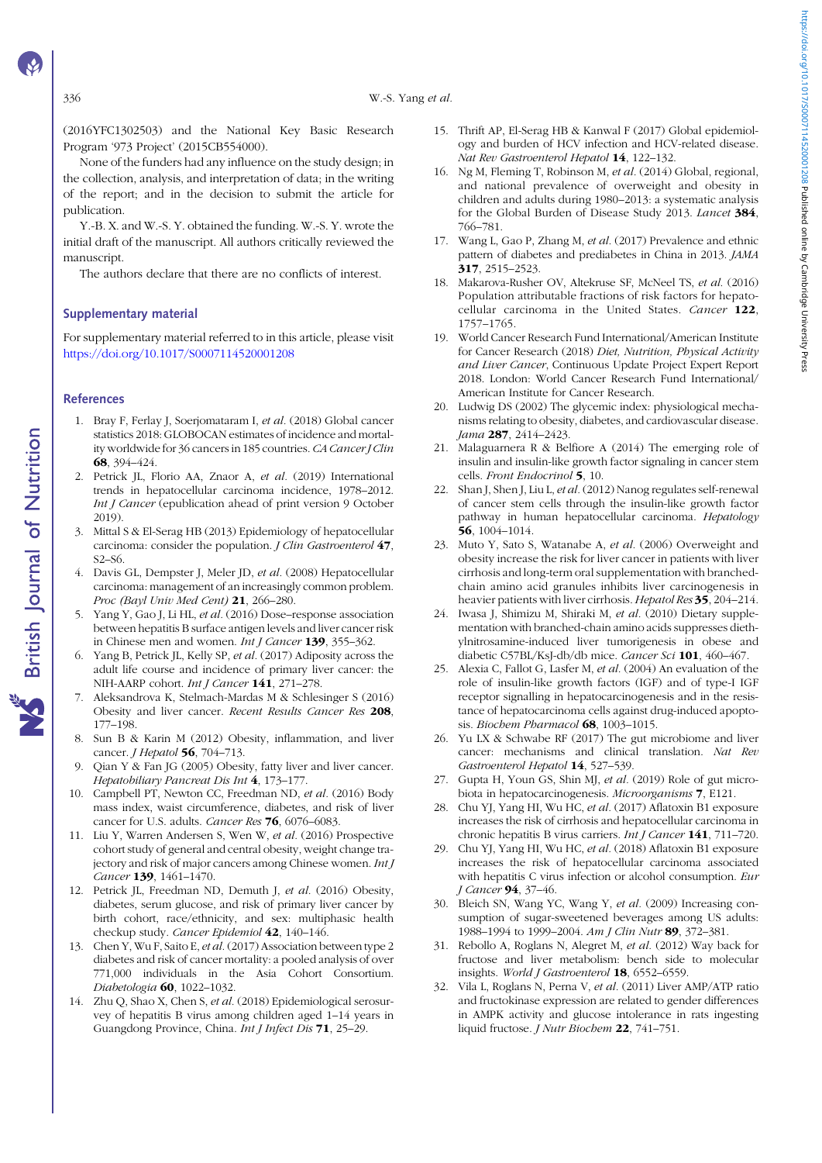<span id="page-6-0"></span>336 W.-S. Yang et al.

(2016YFC1302503) and the National Key Basic Research Program '973 Project' (2015CB554000).

None of the funders had any influence on the study design; in the collection, analysis, and interpretation of data; in the writing of the report; and in the decision to submit the article for publication.

Y.-B. X. and W.-S. Y. obtained the funding. W.-S. Y. wrote the initial draft of the manuscript. All authors critically reviewed the manuscript.

The authors declare that there are no conflicts of interest.

#### Supplementary material

For supplementary material referred to in this article, please visit <https://doi.org/10.1017/S0007114520001208>

#### **References**

- 1. Bray F, Ferlay J, Soerjomataram I, et al. (2018) Global cancer statistics 2018: GLOBOCAN estimates of incidence and mortality worldwide for 36 cancers in 185 countries. CA Cancer J Clin 68, 394–424.
- 2. Petrick JL, Florio AA, Znaor A, et al. (2019) International trends in hepatocellular carcinoma incidence, 1978–2012. Int J Cancer (epublication ahead of print version 9 October 2019).
- 3. Mittal S & El-Serag HB (2013) Epidemiology of hepatocellular carcinoma: consider the population. J Clin Gastroenterol 47, S2–S6.
- 4. Davis GL, Dempster J, Meler JD, et al. (2008) Hepatocellular carcinoma: management of an increasingly common problem. Proc (Bayl Univ Med Cent)  $21$ , 266-280.
- 5. Yang Y, Gao J, Li HL, et al. (2016) Dose–response association between hepatitis B surface antigen levels and liver cancer risk in Chinese men and women. Int J Cancer 139, 355-362.
- 6. Yang B, Petrick JL, Kelly SP, et al. (2017) Adiposity across the adult life course and incidence of primary liver cancer: the NIH-AARP cohort. Int J Cancer 141, 271-278.
- 7. Aleksandrova K, Stelmach-Mardas M & Schlesinger S (2016) Obesity and liver cancer. Recent Results Cancer Res 208, 177–198.
- 8. Sun B & Karin M (2012) Obesity, inflammation, and liver cancer. *I Hepatol* **56**, 704-713.
- Qian Y & Fan JG (2005) Obesity, fatty liver and liver cancer. Hepatobiliary Pancreat Dis Int 4, 173–177.
- 10. Campbell PT, Newton CC, Freedman ND, et al. (2016) Body mass index, waist circumference, diabetes, and risk of liver cancer for U.S. adults. Cancer Res 76, 6076–6083.
- 11. Liu Y, Warren Andersen S, Wen W, et al. (2016) Prospective cohort study of general and central obesity, weight change trajectory and risk of major cancers among Chinese women. Int J Cancer 139, 1461–1470.
- 12. Petrick JL, Freedman ND, Demuth J, et al. (2016) Obesity, diabetes, serum glucose, and risk of primary liver cancer by birth cohort, race/ethnicity, and sex: multiphasic health checkup study. Cancer Epidemiol 42, 140-146.
- 13. Chen Y, Wu F, Saito E, et al. (2017) Association between type 2 diabetes and risk of cancer mortality: a pooled analysis of over 771,000 individuals in the Asia Cohort Consortium. Diabetologia 60, 1022–1032.
- 14. Zhu Q, Shao X, Chen S, et al. (2018) Epidemiological serosurvey of hepatitis B virus among children aged 1–14 years in Guangdong Province, China. Int J Infect Dis 71, 25–29.
- 15. Thrift AP, El-Serag HB & Kanwal F (2017) Global epidemiology and burden of HCV infection and HCV-related disease. Nat Rev Gastroenterol Hepatol 14, 122-132.
- 16. Ng M, Fleming T, Robinson M, et al. (2014) Global, regional, and national prevalence of overweight and obesity in children and adults during 1980–2013: a systematic analysis for the Global Burden of Disease Study 2013. Lancet 384, 766–781.
- 17. Wang L, Gao P, Zhang M, et al. (2017) Prevalence and ethnic pattern of diabetes and prediabetes in China in 2013. JAMA 317, 2515–2523.
- 18. Makarova-Rusher OV, Altekruse SF, McNeel TS, et al. (2016) Population attributable fractions of risk factors for hepatocellular carcinoma in the United States. Cancer 122, 1757–1765.
- 19. World Cancer Research Fund International/American Institute for Cancer Research (2018) Diet, Nutrition, Physical Activity and Liver Cancer, Continuous Update Project Expert Report 2018. London: World Cancer Research Fund International/ American Institute for Cancer Research.
- 20. Ludwig DS (2002) The glycemic index: physiological mechanisms relating to obesity, diabetes, and cardiovascular disease. Jama 287, 2414–2423.
- 21. Malaguarnera R & Belfiore A (2014) The emerging role of insulin and insulin-like growth factor signaling in cancer stem cells. Front Endocrinol 5, 10.
- 22. Shan J, Shen J, Liu L, et al. (2012) Nanog regulates self-renewal of cancer stem cells through the insulin-like growth factor pathway in human hepatocellular carcinoma. Hepatology 56, 1004–1014.
- 23. Muto Y, Sato S, Watanabe A, et al. (2006) Overweight and obesity increase the risk for liver cancer in patients with liver cirrhosis and long-term oral supplementation with branchedchain amino acid granules inhibits liver carcinogenesis in heavier patients with liver cirrhosis. Hepatol Res 35, 204–214.
- 24. Iwasa J, Shimizu M, Shiraki M, et al. (2010) Dietary supplementation with branched-chain amino acids suppresses diethylnitrosamine-induced liver tumorigenesis in obese and diabetic C57BL/KsJ-db/db mice. Cancer Sci 101, 460–467.
- 25. Alexia C, Fallot G, Lasfer M, et al. (2004) An evaluation of the role of insulin-like growth factors (IGF) and of type-I IGF receptor signalling in hepatocarcinogenesis and in the resistance of hepatocarcinoma cells against drug-induced apoptosis. Biochem Pharmacol 68, 1003-1015.
- 26. Yu LX & Schwabe RF (2017) The gut microbiome and liver cancer: mechanisms and clinical translation. Nat Rev Gastroenterol Hepatol 14, 527–539.
- 27. Gupta H, Youn GS, Shin MJ, et al. (2019) Role of gut microbiota in hepatocarcinogenesis. Microorganisms 7, E121.
- 28. Chu YJ, Yang HI, Wu HC, et al. (2017) Aflatoxin B1 exposure increases the risk of cirrhosis and hepatocellular carcinoma in chronic hepatitis B virus carriers. Int J Cancer 141, 711–720.
- 29. Chu YJ, Yang HI, Wu HC, et al. (2018) Aflatoxin B1 exposure increases the risk of hepatocellular carcinoma associated with hepatitis C virus infection or alcohol consumption. Eur J Cancer 94, 37-46.
- 30. Bleich SN, Wang YC, Wang Y, et al. (2009) Increasing consumption of sugar-sweetened beverages among US adults: 1988–1994 to 1999–2004. Am J Clin Nutr 89, 372–381.
- 31. Rebollo A, Roglans N, Alegret M, et al. (2012) Way back for fructose and liver metabolism: bench side to molecular insights. World J Gastroenterol 18, 6552-6559.
- 32. Vila L, Roglans N, Perna V, et al. (2011) Liver AMP/ATP ratio and fructokinase expression are related to gender differences in AMPK activity and glucose intolerance in rats ingesting liquid fructose. J Nutr Biochem 22, 741-751.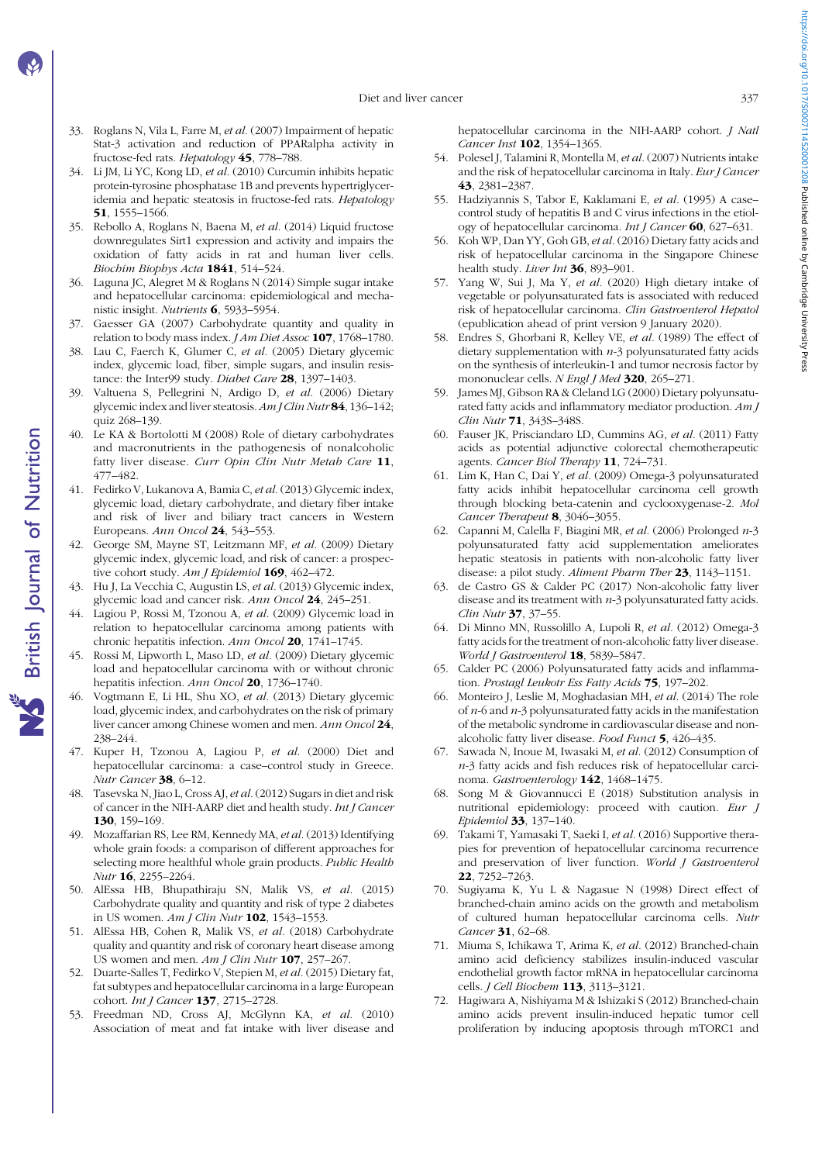- <span id="page-7-0"></span>33. Roglans N, Vila L, Farre M, et al. (2007) Impairment of hepatic Stat-3 activation and reduction of PPARalpha activity in fructose-fed rats. Hepatology 45, 778–788.
- 34. Li JM, Li YC, Kong LD, et al. (2010) Curcumin inhibits hepatic protein-tyrosine phosphatase 1B and prevents hypertriglyceridemia and hepatic steatosis in fructose-fed rats. Hepatology 51, 1555–1566.
- 35. Rebollo A, Roglans N, Baena M, et al. (2014) Liquid fructose downregulates Sirt1 expression and activity and impairs the oxidation of fatty acids in rat and human liver cells. Biochim Biophys Acta 1841, 514-524.
- 36. Laguna JC, Alegret M & Roglans N (2014) Simple sugar intake and hepatocellular carcinoma: epidemiological and mechanistic insight. Nutrients 6, 5933–5954.
- 37. Gaesser GA (2007) Carbohydrate quantity and quality in relation to body mass index. *J Am Diet Assoc* **107**, 1768–1780.
- 38. Lau C, Faerch K, Glumer C, et al. (2005) Dietary glycemic index, glycemic load, fiber, simple sugars, and insulin resistance: the Inter99 study. Diabet Care 28, 1397-1403.
- 39. Valtuena S, Pellegrini N, Ardigo D, et al. (2006) Dietary glycemic index and liver steatosis. Am J Clin Nutr 84, 136–142; quiz 268–139.
- 40. Le KA & Bortolotti M (2008) Role of dietary carbohydrates and macronutrients in the pathogenesis of nonalcoholic fatty liver disease. Curr Opin Clin Nutr Metab Care 11, 477–482.
- 41. Fedirko V, Lukanova A, Bamia C, et al. (2013) Glycemic index glycemic load, dietary carbohydrate, and dietary fiber intake and risk of liver and biliary tract cancers in Western Europeans. Ann Oncol 24, 543–553.
- 42. George SM, Mayne ST, Leitzmann MF, et al. (2009) Dietary glycemic index, glycemic load, and risk of cancer: a prospective cohort study. Am J Epidemiol 169, 462-472.
- 43. Hu J, La Vecchia C, Augustin LS, et al. (2013) Glycemic index, glycemic load and cancer risk. Ann Oncol 24, 245–251.
- 44. Lagiou P, Rossi M, Tzonou A, et al. (2009) Glycemic load in relation to hepatocellular carcinoma among patients with chronic hepatitis infection. Ann Oncol 20, 1741–1745.
- 45. Rossi M, Lipworth L, Maso LD, et al. (2009) Dietary glycemic load and hepatocellular carcinoma with or without chronic hepatitis infection. Ann Oncol 20, 1736–1740.
- 46. Vogtmann E, Li HL, Shu XO, et al. (2013) Dietary glycemic load, glycemic index, and carbohydrates on the risk of primary liver cancer among Chinese women and men. Ann Oncol 24, 238–244.
- 47. Kuper H, Tzonou A, Lagiou P, et al. (2000) Diet and hepatocellular carcinoma: a case–control study in Greece. Nutr Cancer 38, 6–12.
- 48. Tasevska N, Jiao L, Cross AJ, et al.(2012) Sugars in diet and risk of cancer in the NIH-AARP diet and health study. Int J Cancer 130, 159–169.
- 49. Mozaffarian RS, Lee RM, Kennedy MA, et al. (2013) Identifying whole grain foods: a comparison of different approaches for selecting more healthful whole grain products. Public Health Nutr 16, 2255–2264.
- 50. AlEssa HB, Bhupathiraju SN, Malik VS, et al. (2015) Carbohydrate quality and quantity and risk of type 2 diabetes in US women. Am J Clin Nutr 102, 1543-1553.
- 51. AlEssa HB, Cohen R, Malik VS, et al. (2018) Carbohydrate quality and quantity and risk of coronary heart disease among US women and men.  $Am J Clin Nutr$  107, 257-267.
- 52. Duarte-Salles T, Fedirko V, Stepien M, et al. (2015) Dietary fat, fat subtypes and hepatocellular carcinoma in a large European cohort. Int J Cancer 137, 2715-2728.
- 53. Freedman ND, Cross AJ, McGlynn KA, et al. (2010) Association of meat and fat intake with liver disease and

hepatocellular carcinoma in the NIH-AARP cohort. J Natl Cancer Inst **102**, 1354-1365.

- 54. Polesel J, Talamini R, Montella M, et al. (2007) Nutrients intake and the risk of hepatocellular carcinoma in Italy. Eur J Cancer 43, 2381–2387.
- 55. Hadziyannis S, Tabor E, Kaklamani E, et al. (1995) A case– control study of hepatitis B and C virus infections in the etiology of hepatocellular carcinoma. Int J Cancer 60, 627-631.
- 56. Koh WP, Dan YY, Goh GB, et al. (2016) Dietary fatty acids and risk of hepatocellular carcinoma in the Singapore Chinese health study. Liver Int 36, 893-901.
- 57. Yang W, Sui J, Ma Y, et al. (2020) High dietary intake of vegetable or polyunsaturated fats is associated with reduced risk of hepatocellular carcinoma. Clin Gastroenterol Hepatol (epublication ahead of print version 9 January 2020).
- 58. Endres S, Ghorbani R, Kelley VE, et al. (1989) The effect of dietary supplementation with  $n-3$  polyunsaturated fatty acids on the synthesis of interleukin-1 and tumor necrosis factor by mononuclear cells. N Engl J Med 320, 265-271.
- 59. James MJ, Gibson RA & Cleland LG (2000) Dietary polyunsaturated fatty acids and inflammatory mediator production. Am J Clin Nutr 71, 343S–348S.
- 60. Fauser JK, Prisciandaro LD, Cummins AG, et al. (2011) Fatty acids as potential adjunctive colorectal chemotherapeutic agents. Cancer Biol Therapy 11, 724–731.
- 61. Lim K, Han C, Dai Y, et al. (2009) Omega-3 polyunsaturated fatty acids inhibit hepatocellular carcinoma cell growth through blocking beta-catenin and cyclooxygenase-2. Mol Cancer Therapeut 8, 3046-3055.
- 62. Capanni M, Calella F, Biagini MR, et al. (2006) Prolonged n-3 polyunsaturated fatty acid supplementation ameliorates hepatic steatosis in patients with non-alcoholic fatty liver disease: a pilot study. Aliment Pharm Ther 23, 1143–1151.
- 63. de Castro GS & Calder PC (2017) Non-alcoholic fatty liver disease and its treatment with  $n-3$  polyunsaturated fatty acids. Clin Nutr 37, 37–55.
- 64. Di Minno MN, Russolillo A, Lupoli R, et al. (2012) Omega-3 fatty acids for the treatment of non-alcoholic fatty liver disease. World J Gastroenterol 18, 5839-5847.
- 65. Calder PC (2006) Polyunsaturated fatty acids and inflammation. Prostagl Leukotr Ess Fatty Acids 75, 197-202.
- 66. Monteiro J, Leslie M, Moghadasian MH, et al. (2014) The role of  $n-6$  and  $n-3$  polyunsaturated fatty acids in the manifestation of the metabolic syndrome in cardiovascular disease and nonalcoholic fatty liver disease. Food Funct 5, 426–435.
- 67. Sawada N, Inoue M, Iwasaki M, et al. (2012) Consumption of n-3 fatty acids and fish reduces risk of hepatocellular carcinoma. Gastroenterology 142, 1468–1475.
- 68. Song M & Giovannucci E (2018) Substitution analysis in nutritional epidemiology: proceed with caution. Eur J Epidemiol 33, 137–140.
- 69. Takami T, Yamasaki T, Saeki I, et al. (2016) Supportive therapies for prevention of hepatocellular carcinoma recurrence and preservation of liver function. World J Gastroenterol 22, 7252–7263.
- 70. Sugiyama K, Yu L & Nagasue N (1998) Direct effect of branched-chain amino acids on the growth and metabolism of cultured human hepatocellular carcinoma cells. Nutr Cancer 31, 62-68.
- 71. Miuma S, Ichikawa T, Arima K, et al. (2012) Branched-chain amino acid deficiency stabilizes insulin-induced vascular endothelial growth factor mRNA in hepatocellular carcinoma cells. J Cell Biochem 113, 3113-3121.
- 72. Hagiwara A, Nishiyama M & Ishizaki S (2012) Branched-chain amino acids prevent insulin-induced hepatic tumor cell proliferation by inducing apoptosis through mTORC1 and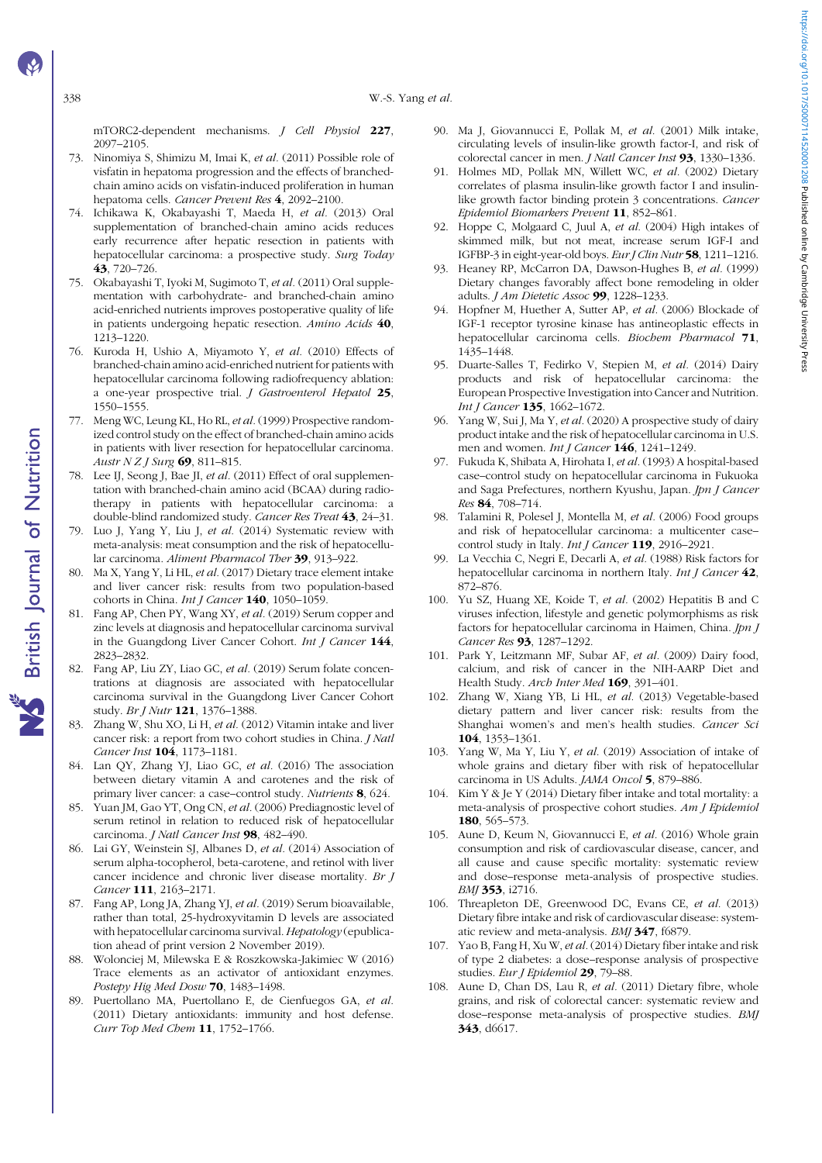<span id="page-8-0"></span>338 W.-S. Yang et al.

mTORC2-dependent mechanisms. J Cell Physiol 227, 2097–2105.

- 73. Ninomiya S, Shimizu M, Imai K, et al. (2011) Possible role of visfatin in hepatoma progression and the effects of branchedchain amino acids on visfatin-induced proliferation in human hepatoma cells. Cancer Prevent Res 4, 2092–2100.
- 74. Ichikawa K, Okabayashi T, Maeda H, et al. (2013) Oral supplementation of branched-chain amino acids reduces early recurrence after hepatic resection in patients with hepatocellular carcinoma: a prospective study. Surg Today 43, 720–726.
- 75. Okabayashi T, Iyoki M, Sugimoto T, et al. (2011) Oral supplementation with carbohydrate- and branched-chain amino acid-enriched nutrients improves postoperative quality of life in patients undergoing hepatic resection. Amino Acids 40, 1213–1220.
- 76. Kuroda H, Ushio A, Miyamoto Y, et al. (2010) Effects of branched-chain amino acid-enriched nutrient for patients with hepatocellular carcinoma following radiofrequency ablation: a one-year prospective trial. J Gastroenterol Hepatol 25, 1550–1555.
- 77. Meng WC, Leung KL, Ho RL, et al. (1999) Prospective randomized control study on the effect of branched-chain amino acids in patients with liver resection for hepatocellular carcinoma. Austr N Z J Surg 69, 811-815.
- 78. Lee IJ, Seong J, Bae JI, et al. (2011) Effect of oral supplementation with branched-chain amino acid (BCAA) during radiotherapy in patients with hepatocellular carcinoma: a double-blind randomized study. Cancer Res Treat 43, 24-31.
- 79. Luo J, Yang Y, Liu J, et al. (2014) Systematic review with meta-analysis: meat consumption and the risk of hepatocellular carcinoma. Aliment Pharmacol Ther 39, 913–922.
- 80. Ma X, Yang Y, Li HL, et al. (2017) Dietary trace element intake and liver cancer risk: results from two population-based cohorts in China. Int J Cancer 140, 1050-1059.
- 81. Fang AP, Chen PY, Wang XY, et al. (2019) Serum copper and zinc levels at diagnosis and hepatocellular carcinoma survival in the Guangdong Liver Cancer Cohort. Int J Cancer 144, 2823–2832.
- 82. Fang AP, Liu ZY, Liao GC, et al. (2019) Serum folate concentrations at diagnosis are associated with hepatocellular carcinoma survival in the Guangdong Liver Cancer Cohort study. Br J Nutr 121, 1376–1388.
- 83. Zhang W, Shu XO, Li H, et al. (2012) Vitamin intake and liver cancer risk: a report from two cohort studies in China. J Natl Cancer Inst 104, 1173-1181.
- 84. Lan QY, Zhang YJ, Liao GC, et al. (2016) The association between dietary vitamin A and carotenes and the risk of primary liver cancer: a case–control study. Nutrients 8, 624.
- 85. Yuan JM, Gao YT, Ong CN, et al. (2006) Prediagnostic level of serum retinol in relation to reduced risk of hepatocellular carcinoma. J Natl Cancer Inst 98, 482-490.
- 86. Lai GY, Weinstein SJ, Albanes D, et al. (2014) Association of serum alpha-tocopherol, beta-carotene, and retinol with liver cancer incidence and chronic liver disease mortality. Br J Cancer 111, 2163–2171.
- 87. Fang AP, Long JA, Zhang YJ, et al. (2019) Serum bioavailable, rather than total, 25-hydroxyvitamin D levels are associated with hepatocellular carcinoma survival. Hepatology (epublication ahead of print version 2 November 2019).
- 88. Wolonciej M, Milewska E & Roszkowska-Jakimiec W (2016) Trace elements as an activator of antioxidant enzymes. Postepy Hig Med Dosw 70, 1483-1498.
- 89. Puertollano MA, Puertollano E, de Cienfuegos GA, et al. (2011) Dietary antioxidants: immunity and host defense. Curr Top Med Chem 11, 1752–1766.
- 90. Ma J, Giovannucci E, Pollak M, et al. (2001) Milk intake, circulating levels of insulin-like growth factor-I, and risk of colorectal cancer in men. J Natl Cancer Inst 93, 1330–1336.
- 91. Holmes MD, Pollak MN, Willett WC, et al. (2002) Dietary correlates of plasma insulin-like growth factor I and insulinlike growth factor binding protein 3 concentrations. Cancer Epidemiol Biomarkers Prevent 11, 852–861.
- 92. Hoppe C, Molgaard C, Juul A, et al. (2004) High intakes of skimmed milk, but not meat, increase serum IGF-I and IGFBP-3 in eight-year-old boys. Eur J Clin Nutr 58, 1211–1216.
- 93. Heaney RP, McCarron DA, Dawson-Hughes B, et al. (1999) Dietary changes favorably affect bone remodeling in older adults. J Am Dietetic Assoc 99, 1228-1233.
- 94. Hopfner M, Huether A, Sutter AP, et al. (2006) Blockade of IGF-1 receptor tyrosine kinase has antineoplastic effects in hepatocellular carcinoma cells. Biochem Pharmacol 71, 1435–1448.
- 95. Duarte-Salles T, Fedirko V, Stepien M, et al. (2014) Dairy products and risk of hepatocellular carcinoma: the European Prospective Investigation into Cancer and Nutrition. Int J Cancer 135, 1662–1672.
- 96. Yang W, Sui J, Ma Y, et al. (2020) A prospective study of dairy product intake and the risk of hepatocellular carcinoma in U.S. men and women. Int J Cancer 146, 1241-1249.
- 97. Fukuda K, Shibata A, Hirohata I, et al. (1993) A hospital-based case–control study on hepatocellular carcinoma in Fukuoka and Saga Prefectures, northern Kyushu, Japan. Jpn J Cancer Res 84, 708–714.
- 98. Talamini R, Polesel J, Montella M, et al. (2006) Food groups and risk of hepatocellular carcinoma: a multicenter case– control study in Italy. Int J Cancer 119, 2916-2921.
- 99. La Vecchia C, Negri E, Decarli A, et al. (1988) Risk factors for hepatocellular carcinoma in northern Italy. *Int J Cancer* 42, 872–876.
- 100. Yu SZ, Huang XE, Koide T, et al. (2002) Hepatitis B and C viruses infection, lifestyle and genetic polymorphisms as risk factors for hepatocellular carcinoma in Haimen, China.  $JpnJ$ Cancer Res **93**, 1287-1292.
- 101. Park Y, Leitzmann MF, Subar AF, et al. (2009) Dairy food, calcium, and risk of cancer in the NIH-AARP Diet and Health Study. Arch Inter Med 169, 391-401.
- 102. Zhang W, Xiang YB, Li HL, et al. (2013) Vegetable-based dietary pattern and liver cancer risk: results from the Shanghai women's and men's health studies. Cancer Sci 104, 1353–1361.
- 103. Yang W, Ma Y, Liu Y, et al. (2019) Association of intake of whole grains and dietary fiber with risk of hepatocellular carcinoma in US Adults. JAMA Oncol 5, 879–886.
- 104. Kim Y & Je Y (2014) Dietary fiber intake and total mortality: a meta-analysis of prospective cohort studies. Am J Epidemiol 180, 565–573.
- 105. Aune D, Keum N, Giovannucci E, et al. (2016) Whole grain consumption and risk of cardiovascular disease, cancer, and all cause and cause specific mortality: systematic review and dose–response meta-analysis of prospective studies. BMJ 353, i2716.
- 106. Threapleton DE, Greenwood DC, Evans CE, et al. (2013) Dietary fibre intake and risk of cardiovascular disease: systematic review and meta-analysis. BMJ 347, f6879.
- 107. Yao B, Fang H, Xu W, et al. (2014) Dietary fiber intake and risk of type 2 diabetes: a dose–response analysis of prospective studies. Eur J Epidemiol 29, 79-88.
- 108. Aune D, Chan DS, Lau R, et al. (2011) Dietary fibre, whole grains, and risk of colorectal cancer: systematic review and dose–response meta-analysis of prospective studies. BMJ 343, d6617.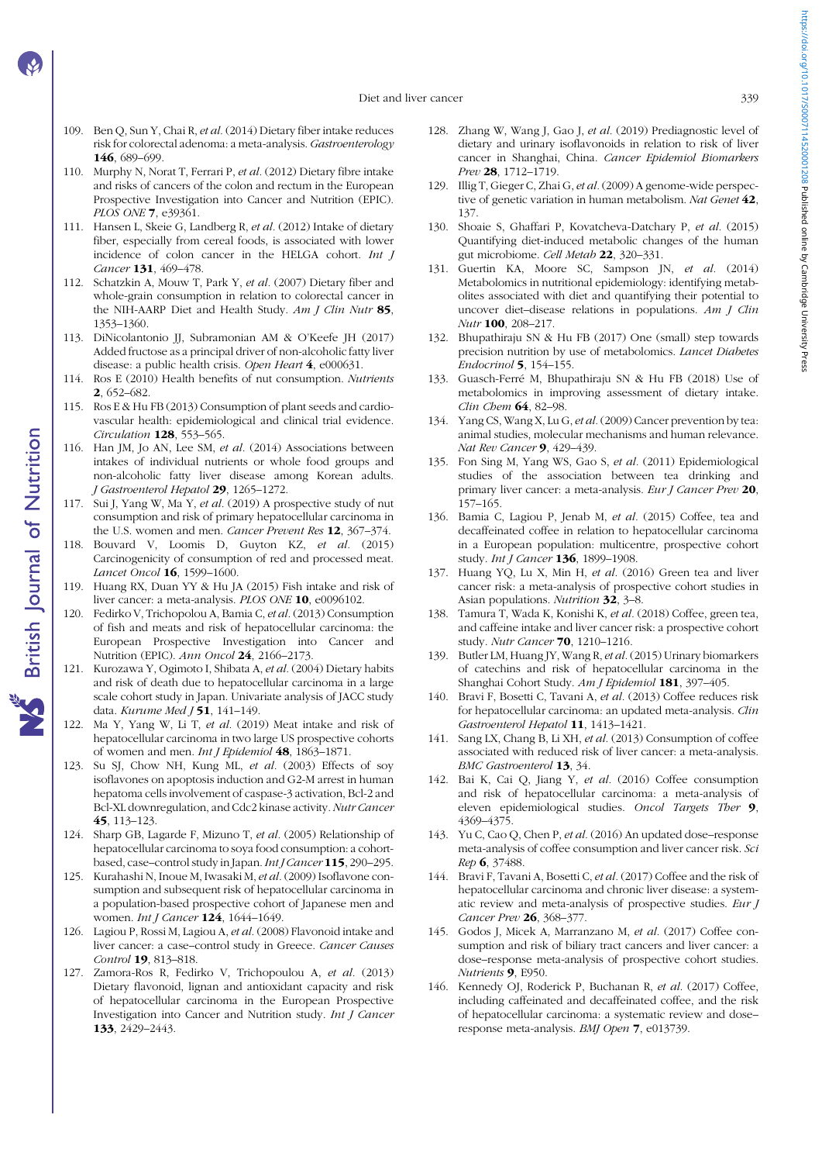Diet and liver cancer 339

- <span id="page-9-0"></span>109. Ben Q, Sun Y, Chai R, et al. (2014) Dietary fiber intake reduces risk for colorectal adenoma: a meta-analysis. Gastroenterology 146, 689–699.
- 110. Murphy N, Norat T, Ferrari P, et al. (2012) Dietary fibre intake and risks of cancers of the colon and rectum in the European Prospective Investigation into Cancer and Nutrition (EPIC). PLOS ONE 7, e39361.
- 111. Hansen L, Skeie G, Landberg R, et al. (2012) Intake of dietary fiber, especially from cereal foods, is associated with lower incidence of colon cancer in the HELGA cohort. Int J Cancer 131, 469–478.
- 112. Schatzkin A, Mouw T, Park Y, et al. (2007) Dietary fiber and whole-grain consumption in relation to colorectal cancer in the NIH-AARP Diet and Health Study.  $Am\,J\,Clin\,Nutr$  85, 1353–1360.
- 113. DiNicolantonio JJ, Subramonian AM & O'Keefe JH (2017) Added fructose as a principal driver of non-alcoholic fatty liver disease: a public health crisis. Open Heart 4, e000631.
- 114. Ros E (2010) Health benefits of nut consumption. Nutrients 2, 652–682.
- 115. Ros E & Hu FB (2013) Consumption of plant seeds and cardiovascular health: epidemiological and clinical trial evidence. Circulation 128, 553–565.
- 116. Han JM, Jo AN, Lee SM, et al. (2014) Associations between intakes of individual nutrients or whole food groups and non-alcoholic fatty liver disease among Korean adults. J Gastroenterol Hepatol 29, 1265–1272.
- 117. Sui J, Yang W, Ma Y, et al. (2019) A prospective study of nut consumption and risk of primary hepatocellular carcinoma in the U.S. women and men. Cancer Prevent Res 12, 367-374.
- 118. Bouvard V, Loomis D, Guyton KZ, et al. (2015) Carcinogenicity of consumption of red and processed meat. Lancet Oncol 16, 1599–1600.
- 119. Huang RX, Duan YY & Hu JA (2015) Fish intake and risk of liver cancer: a meta-analysis. PLOS ONE 10, e0096102.
- 120. Fedirko V, Trichopolou A, Bamia C, et al. (2013) Consumption of fish and meats and risk of hepatocellular carcinoma: the European Prospective Investigation into Cancer and Nutrition (EPIC). Ann Oncol 24, 2166–2173.
- 121. Kurozawa Y, Ogimoto I, Shibata A, et al. (2004) Dietary habits and risk of death due to hepatocellular carcinoma in a large scale cohort study in Japan. Univariate analysis of JACC study data. Kurume Med 151, 141-149.
- 122. Ma Y, Yang W, Li T, et al. (2019) Meat intake and risk of hepatocellular carcinoma in two large US prospective cohorts of women and men. Int J Epidemiol 48, 1863–1871.
- 123. Su SJ, Chow NH, Kung ML, et al. (2003) Effects of soy isoflavones on apoptosis induction and G2-M arrest in human hepatoma cells involvement of caspase-3 activation, Bcl-2 and Bcl-XL downregulation, and Cdc2 kinase activity. Nutr Cancer 45, 113–123.
- 124. Sharp GB, Lagarde F, Mizuno T, et al. (2005) Relationship of hepatocellular carcinoma to soya food consumption: a cohortbased, case–control study in Japan. Int J Cancer 115, 290–295.
- 125. Kurahashi N, Inoue M, Iwasaki M, et al. (2009) Isoflavone consumption and subsequent risk of hepatocellular carcinoma in a population-based prospective cohort of Japanese men and women. Int J Cancer 124, 1644-1649.
- 126. Lagiou P, Rossi M, Lagiou A, et al. (2008) Flavonoid intake and liver cancer: a case–control study in Greece. Cancer Causes Control 19, 813–818.
- 127. Zamora-Ros R, Fedirko V, Trichopoulou A, et al. (2013) Dietary flavonoid, lignan and antioxidant capacity and risk of hepatocellular carcinoma in the European Prospective Investigation into Cancer and Nutrition study. Int J Cancer 133, 2429–2443.
- 128. Zhang W, Wang J, Gao J, et al. (2019) Prediagnostic level of dietary and urinary isoflavonoids in relation to risk of liver cancer in Shanghai, China. Cancer Epidemiol Biomarkers Prev 28, 1712–1719.
- 129. Illig T, Gieger C, Zhai G, et al. (2009) A genome-wide perspective of genetic variation in human metabolism. Nat Genet 42, 137.
- 130. Shoaie S, Ghaffari P, Kovatcheva-Datchary P, et al. (2015) Quantifying diet-induced metabolic changes of the human gut microbiome. Cell Metab 22, 320–331.
- 131. Guertin KA, Moore SC, Sampson JN, et al. (2014) Metabolomics in nutritional epidemiology: identifying metabolites associated with diet and quantifying their potential to uncover diet-disease relations in populations. Am J Clin Nutr 100, 208–217.
- 132. Bhupathiraju SN & Hu FB (2017) One (small) step towards precision nutrition by use of metabolomics. Lancet Diabetes Endocrinol 5, 154–155.
- 133. Guasch-Ferré M, Bhupathiraju SN & Hu FB (2018) Use of metabolomics in improving assessment of dietary intake. Clin Chem 64, 82–98.
- 134. Yang CS, Wang X, Lu G, et al. (2009) Cancer prevention by tea: animal studies, molecular mechanisms and human relevance. Nat Rev Cancer **9**, 429-439.
- 135. Fon Sing M, Yang WS, Gao S, et al. (2011) Epidemiological studies of the association between tea drinking and primary liver cancer: a meta-analysis. Eur J Cancer Prev 20, 157–165.
- 136. Bamia C, Lagiou P, Jenab M, et al. (2015) Coffee, tea and decaffeinated coffee in relation to hepatocellular carcinoma in a European population: multicentre, prospective cohort study. Int J Cancer 136, 1899-1908.
- 137. Huang YQ, Lu X, Min H, et al. (2016) Green tea and liver cancer risk: a meta-analysis of prospective cohort studies in Asian populations. Nutrition 32, 3–8.
- 138. Tamura T, Wada K, Konishi K, et al. (2018) Coffee, green tea, and caffeine intake and liver cancer risk: a prospective cohort study. Nutr Cancer 70, 1210–1216.
- 139. Butler LM, Huang JY, Wang R, et al. (2015) Urinary biomarkers of catechins and risk of hepatocellular carcinoma in the Shanghai Cohort Study. Am J Epidemiol 181, 397–405.
- 140. Bravi F, Bosetti C, Tavani A, et al. (2013) Coffee reduces risk for hepatocellular carcinoma: an updated meta-analysis. Clin Gastroenterol Hepatol 11, 1413–1421.
- 141. Sang LX, Chang B, Li XH, et al. (2013) Consumption of coffee associated with reduced risk of liver cancer: a meta-analysis. BMC Gastroenterol 13, 34.
- 142. Bai K, Cai Q, Jiang Y, et al. (2016) Coffee consumption and risk of hepatocellular carcinoma: a meta-analysis of eleven epidemiological studies. Oncol Targets Ther 9, 4369–4375.
- 143. Yu C, Cao Q, Chen P, et al. (2016) An updated dose–response meta-analysis of coffee consumption and liver cancer risk. Sci Rep 6, 37488.
- 144. Bravi F, Tavani A, Bosetti C, et al. (2017) Coffee and the risk of hepatocellular carcinoma and chronic liver disease: a systematic review and meta-analysis of prospective studies. Eur J Cancer Prev 26, 368–377.
- 145. Godos J, Micek A, Marranzano M, et al. (2017) Coffee consumption and risk of biliary tract cancers and liver cancer: a dose–response meta-analysis of prospective cohort studies. Nutrients 9, E950.
- 146. Kennedy OJ, Roderick P, Buchanan R, et al. (2017) Coffee, including caffeinated and decaffeinated coffee, and the risk of hepatocellular carcinoma: a systematic review and dose– response meta-analysis. BMJ Open 7, e013739.